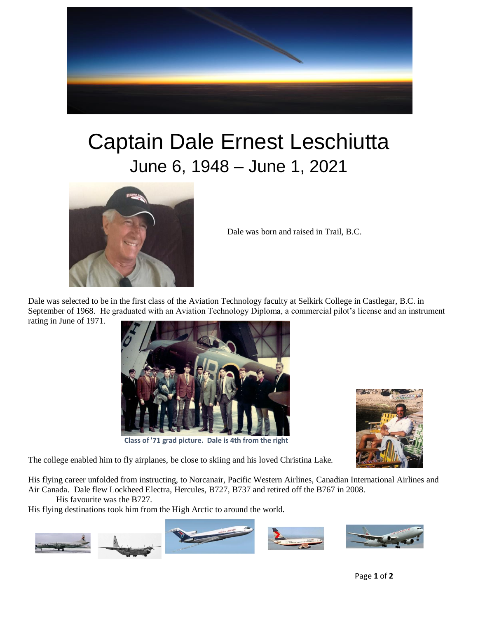

## Captain Dale Ernest Leschiutta June 6, 1948 – June 1, 2021



Dale was born and raised in Trail, B.C.

Dale was selected to be in the first class of the Aviation Technology faculty at Selkirk College in Castlegar, B.C. in September of 1968. He graduated with an Aviation Technology Diploma, a commercial pilot's license and an instrument rating in June of 1971.



**Class of '71 grad picture. Dale is 4th from the right**



The college enabled him to fly airplanes, be close to skiing and his loved Christina Lake.

His flying career unfolded from instructing, to Norcanair, Pacific Western Airlines, Canadian International Airlines and Air Canada. Dale flew Lockheed Electra, Hercules, B727, B737 and retired off the B767 in 2008.

His favourite was the B727.

His flying destinations took him from the High Arctic to around the world.